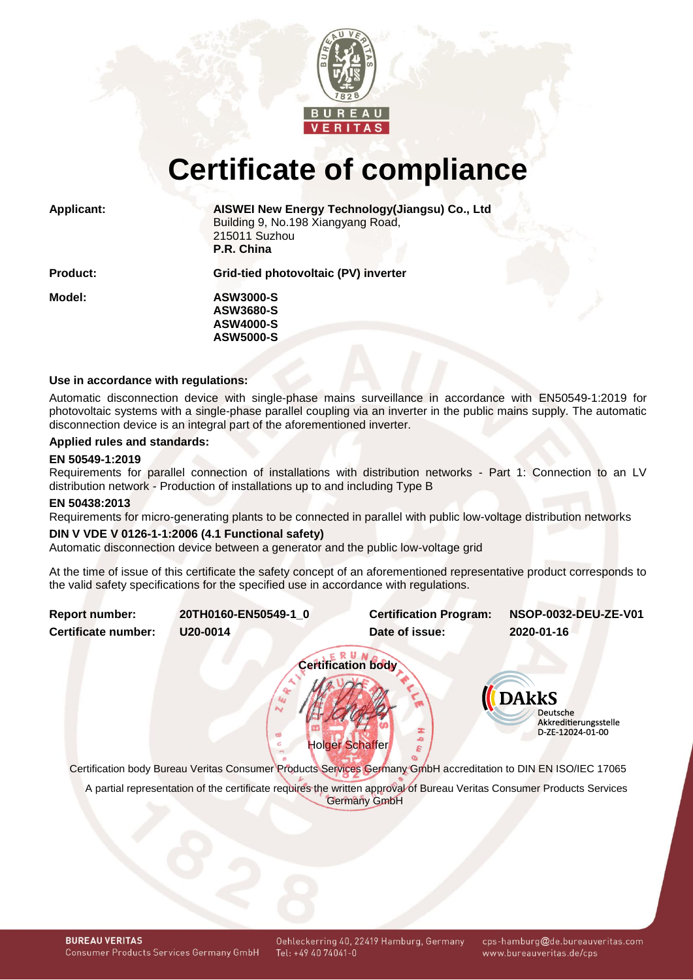

# **Certificate of compliance**

**Applicant: AISWEI New Energy Technology(Jiangsu) Co., Ltd** Building 9, No.198 Xiangyang Road, 215011 Suzhou **P.R. China**

**Product: Grid-tied photovoltaic (PV) inverter**

**Model: ASW3000-S ASW3680-S ASW4000-S ASW5000-S**

# **Use in accordance with regulations:**

Automatic disconnection device with single-phase mains surveillance in accordance with EN50549-1:2019 for photovoltaic systems with a single-phase parallel coupling via an inverter in the public mains supply. The automatic disconnection device is an integral part of the aforementioned inverter.

# **Applied rules and standards:**

### **EN 50549-1:2019**

Requirements for parallel connection of installations with distribution networks - Part 1: Connection to an LV distribution network - Production of installations up to and including Type B

#### **EN 50438:2013**

Requirements for micro-generating plants to be connected in parallel with public low-voltage distribution networks

## **DIN V VDE V 0126-1-1:2006 (4.1 Functional safety)**

Automatic disconnection device between a generator and the public low-voltage grid

<span id="page-0-1"></span>At the time of issue of this certificate the safety concept of an aforementioned representative product corresponds to the valid safety specifications for the specified use in accordance with regulations.

<span id="page-0-0"></span>**Report number: 20TH0160-EN50549-1\_0 Certification Program: NSOP-0032-DEU-ZE-V01 Certificate number: U20-0014 Date of issue: 2020-01-16 Certification body II** DAkkS **Deutsche** Akkreditierungsstelle D-ZE-12024-01-00 Holger Schaffer

Certification body Bureau Veritas Consumer Products Services Germany GmbH accreditation to DIN EN ISO/IEC 17065

A partial representation of the certificate requires the written approval of Bureau Veritas Consumer Products Services Germany GmbH

cps-hamburg@de.bureauveritas.com www.bureauveritas.de/cps